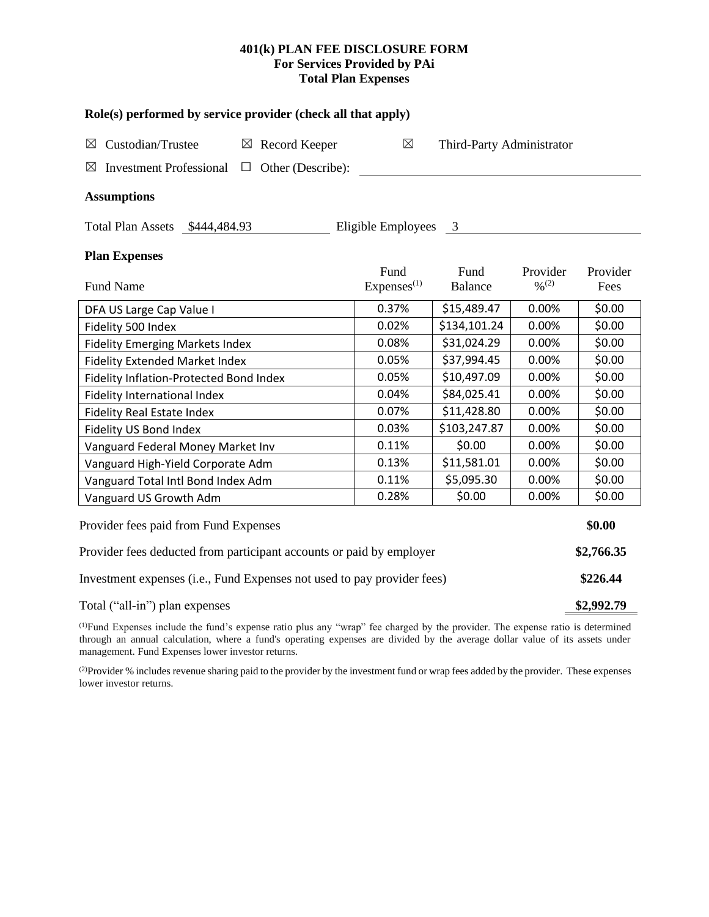# **401(k) PLAN FEE DISCLOSURE FORM For Services Provided by PAi Total Plan Expenses**

| Role(s) performed by service provider (check all that apply)                 |                        |                |                              |          |  |  |  |  |  |  |
|------------------------------------------------------------------------------|------------------------|----------------|------------------------------|----------|--|--|--|--|--|--|
| Custodian/Trustee<br>$\boxtimes$ Record Keeper<br>⊠                          | $\boxtimes$            |                | Third-Party Administrator    |          |  |  |  |  |  |  |
| <b>Investment Professional</b><br>Other (Describe):<br>$\boxtimes$<br>$\Box$ |                        |                |                              |          |  |  |  |  |  |  |
| <b>Assumptions</b>                                                           |                        |                |                              |          |  |  |  |  |  |  |
| Eligible Employees 3<br>Total Plan Assets \$444,484.93                       |                        |                |                              |          |  |  |  |  |  |  |
| <b>Plan Expenses</b>                                                         |                        |                |                              |          |  |  |  |  |  |  |
|                                                                              | Fund                   | Fund           | Provider                     | Provider |  |  |  |  |  |  |
| <b>Fund Name</b>                                                             | Express <sup>(1)</sup> | <b>Balance</b> | $\frac{0}{2}$ <sup>(2)</sup> | Fees     |  |  |  |  |  |  |
| DFA US Large Cap Value I                                                     | 0.37%                  | \$15,489.47    | 0.00%                        | \$0.00   |  |  |  |  |  |  |
| Fidelity 500 Index                                                           | 0.02%                  | \$134,101.24   | 0.00%                        | \$0.00   |  |  |  |  |  |  |
| <b>Fidelity Emerging Markets Index</b>                                       | 0.08%                  | \$31,024.29    | 0.00%                        | \$0.00   |  |  |  |  |  |  |
| Fidelity Extended Market Index                                               | 0.05%                  | \$37,994.45    | 0.00%                        | \$0.00   |  |  |  |  |  |  |
| Fidelity Inflation-Protected Bond Index                                      | 0.05%                  | \$10,497.09    | 0.00%                        | \$0.00   |  |  |  |  |  |  |
| <b>Fidelity International Index</b>                                          | 0.04%                  | \$84,025.41    | 0.00%                        | \$0.00   |  |  |  |  |  |  |
| <b>Fidelity Real Estate Index</b>                                            | 0.07%                  | \$11,428.80    | 0.00%                        | \$0.00   |  |  |  |  |  |  |
| Fidelity US Bond Index                                                       | 0.03%                  | \$103,247.87   | 0.00%                        | \$0.00   |  |  |  |  |  |  |
| Vanguard Federal Money Market Inv                                            | 0.11%                  | \$0.00         | 0.00%                        | \$0.00   |  |  |  |  |  |  |
| Vanguard High-Yield Corporate Adm                                            | 0.13%                  | \$11,581.01    | 0.00%                        | \$0.00   |  |  |  |  |  |  |
| Vanguard Total Intl Bond Index Adm                                           | 0.11%                  | \$5,095.30     | 0.00%                        | \$0.00   |  |  |  |  |  |  |
| Vanguard US Growth Adm                                                       | 0.28%                  | \$0.00         | 0.00%                        | \$0.00   |  |  |  |  |  |  |
| Provider fees paid from Fund Expenses                                        |                        |                |                              |          |  |  |  |  |  |  |
| Provider fees deducted from participant accounts or paid by employer         |                        |                |                              |          |  |  |  |  |  |  |
| Investment expenses (i.e., Fund Expenses not used to pay provider fees)      |                        |                |                              |          |  |  |  |  |  |  |
| Total ("all-in") plan expenses                                               |                        |                |                              |          |  |  |  |  |  |  |

(1)Fund Expenses include the fund's expense ratio plus any "wrap" fee charged by the provider. The expense ratio is determined through an annual calculation, where a fund's operating expenses are divided by the average dollar value of its assets under management. Fund Expenses lower investor returns.

<sup>(2)</sup>Provider % includes revenue sharing paid to the provider by the investment fund or wrap fees added by the provider. These expenses lower investor returns.